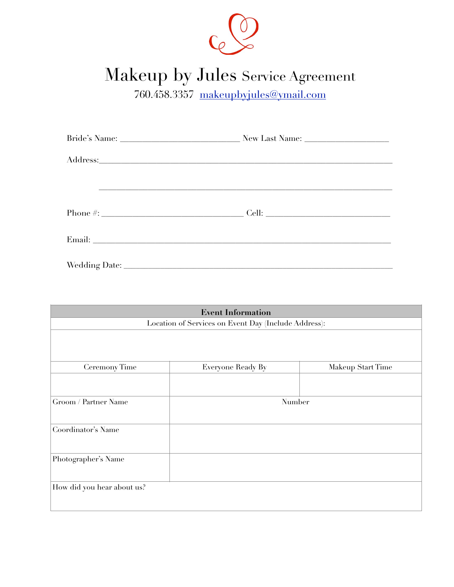

# Makeup by Jules Service Agreement

760.458.3357 [makeupbyjules@ymail.com](mailto:makeupbyjules@ymail.com)

| <u> 1989 - Andrea San Andrea San Andrea San Andrea San Andrea San Andrea San Andrea San Andrea San Andrea San A</u>                                                                                                           |  |
|-------------------------------------------------------------------------------------------------------------------------------------------------------------------------------------------------------------------------------|--|
|                                                                                                                                                                                                                               |  |
| Email: No. 2014. The contract of the contract of the contract of the contract of the contract of the contract of the contract of the contract of the contract of the contract of the contract of the contract of the contract |  |
|                                                                                                                                                                                                                               |  |

| <b>Event Information</b><br>Location of Services on Event Day (Include Address): |                   |                   |  |
|----------------------------------------------------------------------------------|-------------------|-------------------|--|
|                                                                                  |                   |                   |  |
|                                                                                  |                   |                   |  |
| Ceremony Time                                                                    | Everyone Ready By | Makeup Start Time |  |
|                                                                                  |                   |                   |  |
| Groom / Partner Name                                                             | Number            |                   |  |
| Coordinator's Name                                                               |                   |                   |  |
| Photographer's Name                                                              |                   |                   |  |
| How did you hear about us?                                                       |                   |                   |  |
|                                                                                  |                   |                   |  |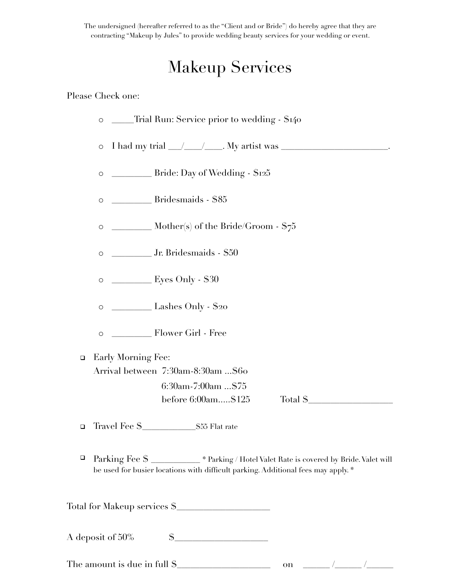The undersigned (hereafter referred to as the "Client and or Bride") do hereby agree that they are contracting "Makeup by Jules" to provide wedding beauty services for your wedding or event.

## Makeup Services

### Please Check one:

- o \_\_\_\_\_Trial Run: Service prior to wedding \$140  $\circ$  I had my trial  $\angle$   $\angle$   $\angle$   $\angle$   $\angle$   $\angle$   $\angle$  My artist was  $\angle$  $\circ$  \_\_\_\_\_\_\_\_\_\_\_\_\_\_ Bride: Day of Wedding -  $\$125$ o \_\_\_\_\_\_\_\_\_ Bridesmaids - \$85  $\circ$  \_\_\_\_\_\_\_\_\_\_\_ Mother(s) of the Bride/Groom - \$75
- o \_\_\_\_\_\_\_\_\_ Jr. Bridesmaids \$50
- o \_\_\_\_\_\_\_\_\_ Eyes Only \$30
- o \_\_\_\_\_\_\_\_\_ Lashes Only \$20
- o \_\_\_\_\_\_\_\_\_ Flower Girl Free

□ Early Morning Fee: Arrival between 7:30am-8:30am ...\$60 6:30am-7:00am ...\$75

before 6:00am.....\$125 Total \$\_\_\_\_\_\_\_\_\_\_\_\_\_\_\_\_\_\_\_

! Travel Fee \$\_\_\_\_\_\_\_\_\_\_\_\_\$55 Flat rate

! Parking Fee \$ \_\_\_\_\_\_\_\_\_\_\_ \* Parking / Hotel Valet Rate is covered by Bride. Valet will be used for busier locations with difficult parking. Additional fees may apply. \*

Total for Makeup services \$\_\_\_\_\_\_\_\_\_\_\_\_\_\_\_\_\_\_\_\_\_

A deposit of  $50\%$   $\qquad \quad$  \$

The amount is due in full \$\_\_\_\_\_\_\_\_\_\_\_\_\_\_\_\_\_\_\_\_\_ on \_\_\_\_\_\_ /\_\_\_\_\_\_ /\_\_\_\_\_\_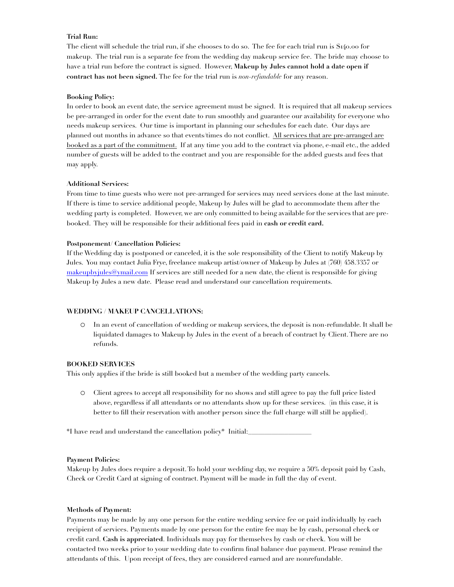#### **Trial Run:**

The client will schedule the trial run, if she chooses to do so. The fee for each trial run is \$140.00 for makeup. The trial run is a separate fee from the wedding day makeup service fee. The bride may choose to have a trial run before the contract is signed. However, **Makeup by Jules cannot hold a date open if contract has not been signed.** The fee for the trial run is *non-refundable* for any reason.

#### **Booking Policy:**

In order to book an event date, the service agreement must be signed. It is required that all makeup services be pre-arranged in order for the event date to run smoothly and guarantee our availability for everyone who needs makeup services. Our time is important in planning our schedules for each date. Our days are planned out months in advance so that events/times do not conflict. All services that are pre-arranged are booked as a part of the commitment. If at any time you add to the contract via phone, e-mail etc., the added number of guests will be added to the contract and you are responsible for the added guests and fees that may apply.

#### **Additional Services:**

From time to time guests who were not pre-arranged for services may need services done at the last minute. If there is time to service additional people, Makeup by Jules will be glad to accommodate them after the wedding party is completed. However, we are only committed to being available for the services that are prebooked. They will be responsible for their additional fees paid in **cash or credit card.** 

#### **Postponement/ Cancellation Policies:**

If the Wedding day is postponed or canceled, it is the sole responsibility of the Client to notify Makeup by Jules. You may contact Julia Frye, freelance makeup artist/owner of Makeup by Jules at (760) 458.3357 or [makeupbyjules@ymail.com](mailto:makeupbyblush@aol.com) If services are still needed for a new date, the client is responsible for giving Makeup by Jules a new date. Please read and understand our cancellation requirements.

#### **WEDDING / MAKEUP CANCELLATIONS:**

o In an event of cancellation of wedding or makeup services, the deposit is non-refundable. It shall be liquidated damages to Makeup by Jules in the event of a breach of contract by Client. There are no refunds.

#### **BOOKED SERVICES**

This only applies if the bride is still booked but a member of the wedding party cancels.

o Client agrees to accept all responsibility for no shows and still agree to pay the full price listed above, regardless if all attendants or no attendants show up for these services. (in this case, it is better to fill their reservation with another person since the full charge will still be applied).

\*I have read and understand the cancellation policy\* Initial:\_\_\_\_\_\_\_\_\_\_\_\_\_\_\_\_\_\_\_

#### **Payment Policies:**

Makeup by Jules does require a deposit. To hold your wedding day, we require a 50% deposit paid by Cash, Check or Credit Card at signing of contract. Payment will be made in full the day of event.

#### **Methods of Payment:**

Payments may be made by any one person for the entire wedding service fee or paid individually by each recipient of services. Payments made by one person for the entire fee may be by cash, personal check or credit card. **Cash is appreciated**. Individuals may pay for themselves by cash or check. You will be contacted two weeks prior to your wedding date to confirm final balance due payment. Please remind the attendants of this. Upon receipt of fees, they are considered earned and are nonrefundable.